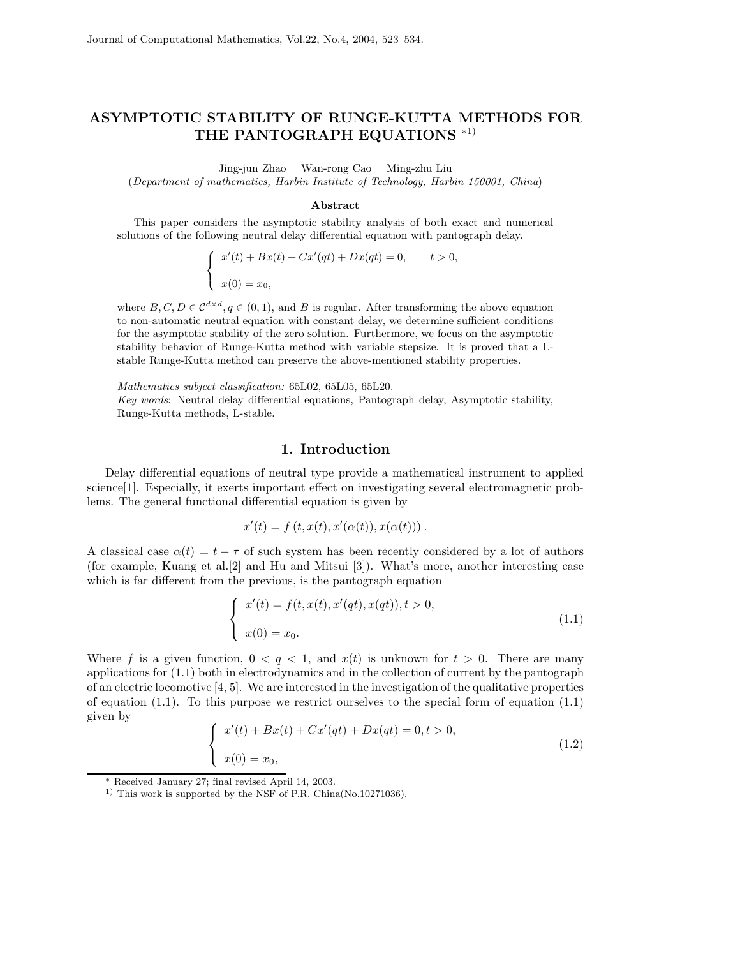# **ASYMPTOTIC STABILITY OF RUNGE-KUTTA METHODS FOR THE PANTOGRAPH EQUATIONS** <sup>∗</sup>1)

Jing-jun Zhao Wan-rong Cao Ming-zhu Liu

(*Department of mathematics, Harbin Institute of Technology, Harbin 150001, China*)

#### **Abstract**

This paper considers the asymptotic stability analysis of both exact and numerical solutions of the following neutral delay differential equation with pantograph delay.

$$
\begin{cases}\nx'(t) + Bx(t) + Cx'(qt) + Dx(qt) = 0, & t > 0, \\
x(0) = x_0,\n\end{cases}
$$

where  $B, C, D \in \mathcal{C}^{d \times d}, q \in (0, 1)$ , and B is regular. After transforming the above equation to non-automatic neutral equation with constant delay, we determine sufficient conditions for the asymptotic stability of the zero solution. Furthermore, we focus on the asymptotic stability behavior of Runge-Kutta method with variable stepsize. It is proved that a Lstable Runge-Kutta method can preserve the above-mentioned stability properties.

*Mathematics subject classification:* 65L02, 65L05, 65L20.

*Key words*: Neutral delay differential equations, Pantograph delay, Asymptotic stability, Runge-Kutta methods, L-stable.

### **1. Introduction**

Delay differential equations of neutral type provide a mathematical instrument to applied science[1]. Especially, it exerts important effect on investigating several electromagnetic problems. The general functional differential equation is given by

$$
x'(t) = f(t, x(t), x'(\alpha(t)), x(\alpha(t))).
$$

A classical case  $\alpha(t) = t - \tau$  of such system has been recently considered by a lot of authors (for example, Kuang et al.[2] and Hu and Mitsui [3]). What's more, another interesting case which is far different from the previous, is the pantograph equation

$$
\begin{cases}\nx'(t) = f(t, x(t), x'(qt), x(qt)), t > 0, \\
x(0) = x_0.\n\end{cases}
$$
\n(1.1)

Where f is a given function,  $0 < q < 1$ , and  $x(t)$  is unknown for  $t > 0$ . There are many applications for (1.1) both in electrodynamics and in the collection of current by the pantograph of an electric locomotive [4, 5]. We are interested in the investigation of the qualitative properties of equation  $(1.1)$ . To this purpose we restrict ourselves to the special form of equation  $(1.1)$ given by

$$
\begin{cases}\nx'(t) + Bx(t) + Cx'(qt) + Dx(qt) = 0, t > 0, \\
x(0) = x_0,\n\end{cases}
$$
\n(1.2)

<sup>∗</sup> Received January 27; final revised April 14, 2003.

<sup>&</sup>lt;sup>1)</sup> This work is supported by the NSF of P.R. China(No.10271036).